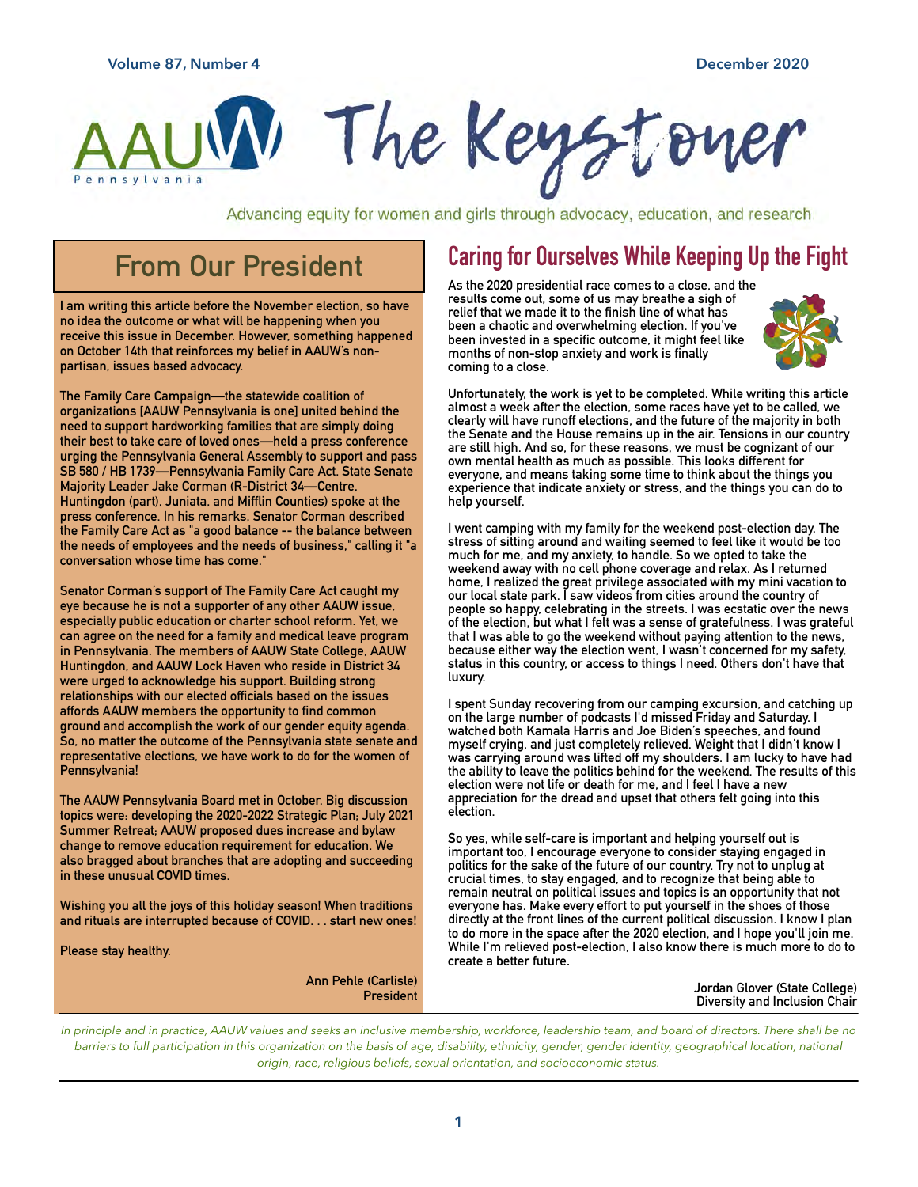

Advancing equity for women and girls through advocacy, education, and research

## **From Our President**

**I am writing this article before the November election, so have no idea the outcome or what will be happening when you receive this issue in December. However, something happened on October 14th that reinforces my belief in AAUW's nonpartisan, issues based advocacy.** 

**The Family Care Campaign—the statewide coalition of organizations [AAUW Pennsylvania is one] united behind the need to support hardworking families that are simply doing their best to take care of loved ones—held a press conference urging the Pennsylvania General Assembly to support and pass SB 580 / HB 1739—Pennsylvania Family Care Act. State Senate Majority Leader Jake Corman (R-District 34—Centre, Huntingdon (part), Juniata, and Mifflin Counties) spoke at the press conference. In his remarks, Senator Corman described the Family Care Act as "a good balance -- the balance between the needs of employees and the needs of business," calling it "a conversation whose time has come."** 

**Senator Corman's support of The Family Care Act caught my eye because he is not a supporter of any other AAUW issue, especially public education or charter school reform. Yet, we can agree on the need for a family and medical leave program in Pennsylvania. The members of AAUW State College, AAUW Huntingdon, and AAUW Lock Haven who reside in District 34 were urged to acknowledge his support. Building strong relationships with our elected officials based on the issues affords AAUW members the opportunity to find common ground and accomplish the work of our gender equity agenda. So, no matter the outcome of the Pennsylvania state senate and representative elections, we have work to do for the women of Pennsylvania!**

**The AAUW Pennsylvania Board met in October. Big discussion topics were: developing the 2020-2022 Strategic Plan; July 2021 Summer Retreat; AAUW proposed dues increase and bylaw change to remove education requirement for education. We also bragged about branches that are adopting and succeeding in these unusual COVID times.**

**Wishing you all the joys of this holiday season! When traditions and rituals are interrupted because of COVID. . . start new ones!**

**Please stay healthy.**

## **Caring for Ourselves While Keeping Up the Fight**

**As the 2020 presidential race comes to a close, and the results come out, some of us may breathe a sigh of relief that we made it to the finish line of what has been a chaotic and overwhelming election. If you've been invested in a specific outcome, it might feel like months of non-stop anxiety and work is finally coming to a close.**



**Unfortunately, the work is yet to be completed. While writing this article almost a week after the election, some races have yet to be called, we clearly will have runoff elections, and the future of the majority in both the Senate and the House remains up in the air. Tensions in our country are still high. And so, for these reasons, we must be cognizant of our own mental health as much as possible. This looks different for everyone, and means taking some time to think about the things you experience that indicate anxiety or stress, and the things you can do to help yourself.**

**I went camping with my family for the weekend post-election day. The stress of sitting around and waiting seemed to feel like it would be too much for me, and my anxiety, to handle. So we opted to take the weekend away with no cell phone coverage and relax. As I returned home, I realized the great privilege associated with my mini vacation to our local state park. I saw videos from cities around the country of people so happy, celebrating in the streets. I was ecstatic over the news of the election, but what I felt was a sense of gratefulness. I was grateful that I was able to go the weekend without paying attention to the news, because either way the election went, I wasn't concerned for my safety, status in this country, or access to things I need. Others don't have that luxury.**

**I spent Sunday recovering from our camping excursion, and catching up on the large number of podcasts I'd missed Friday and Saturday. I watched both Kamala Harris and Joe Biden's speeches, and found myself crying, and just completely relieved. Weight that I didn't know I was carrying around was lifted off my shoulders. I am lucky to have had the ability to leave the politics behind for the weekend. The results of this election were not life or death for me, and I feel I have a new appreciation for the dread and upset that others felt going into this election.**

**So yes, while self-care is important and helping yourself out is important too, I encourage everyone to consider staying engaged in politics for the sake of the future of our country. Try not to unplug at crucial times, to stay engaged, and to recognize that being able to remain neutral on political issues and topics is an opportunity that not everyone has. Make every effort to put yourself in the shoes of those directly at the front lines of the current political discussion. I know I plan to do more in the space after the 2020 election, and I hope you'll join me. While I'm relieved post-election, I also know there is much more to do to create a better future.**

> **Jordan Glover (State College) Diversity and Inclusion Chair**

*In principle and in practice, AAUW values and seeks an inclusive membership, workforce, leadership team, and board of directors. There shall be no barriers to full participation in this organization on the basis of age, disability, ethnicity, gender, gender identity, geographical location, national origin, race, religious beliefs, sexual orientation, and socioeconomic status.*

**Ann Pehle (Carlisle)**

**President**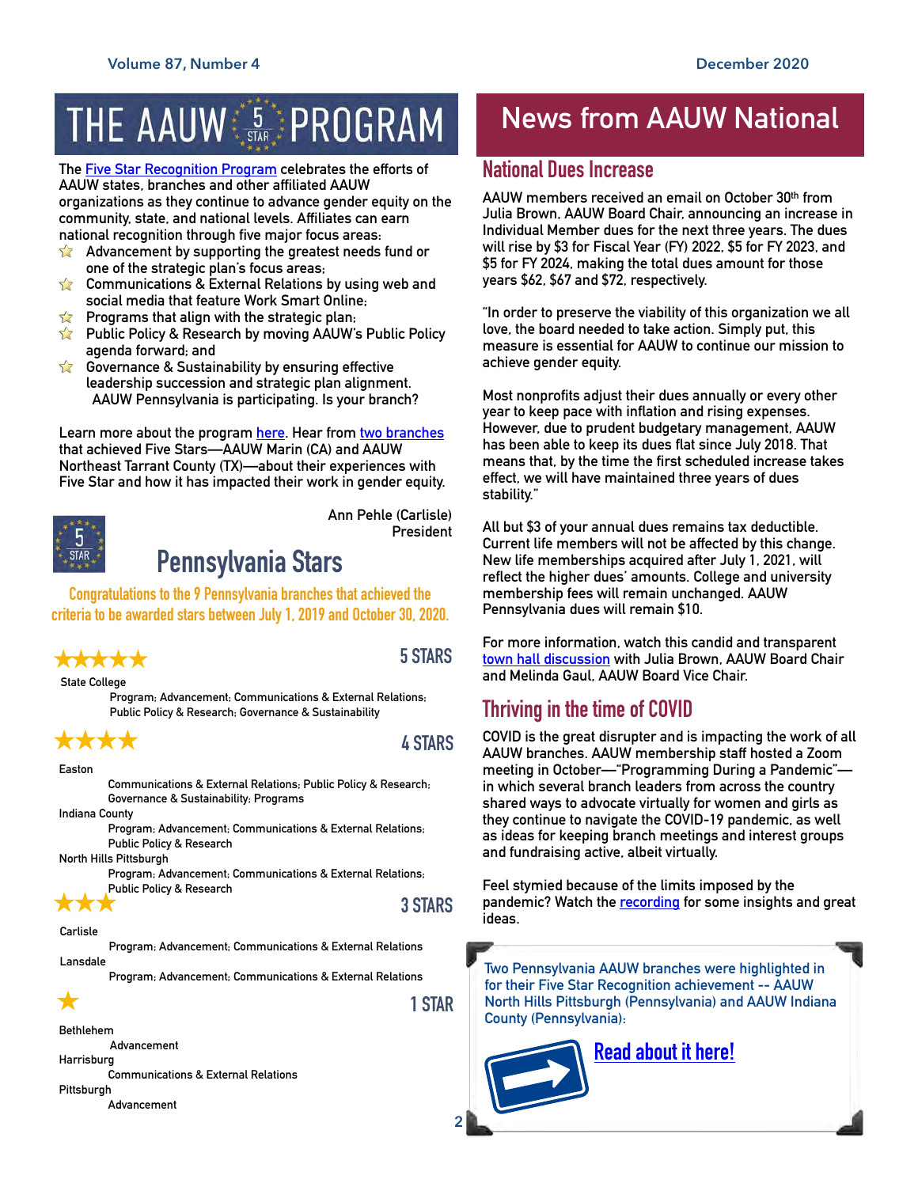# THE AAUW SARE PROGRAM

**The [Five Star Recognition Program](https://www.aauw.org/resources/member/initiatives/5-star-program/) celebrates the efforts of AAUW states, branches and other affiliated AAUW organizations as they continue to advance gender equity on the community, state, and national levels. Affiliates can earn national recognition through five major focus areas:** 

- **Advancement by supporting the greatest needs fund or**   $\sum$ **one of the strategic plan's focus areas;**
- **Communications & External Relations by using web and**   $\sum$ **social media that feature Work Smart Online;**
- **Programs that align with the strategic plan;**
- **Public Policy & Research by moving AAUW's Public Policy agenda forward; and**
- **Governance & Sustainability by ensuring effective leadership succession and strategic plan alignment. AAUW Pennsylvania is participating. Is your branch?**

**Learn more about the program [here](https://www.aauw.org/resources/member/initiatives/5-star-program/). Hear from [two branches](https://www.aauw.org/resources/member/initiatives/5-star-program/) that achieved Five Stars—AAUW Marin (CA) and AAUW Northeast Tarrant County (TX)—about their experiences with Five Star and how it has impacted their work in gender equity.** 



## **Pennsylvania Stars**

**Congratulations to the 9 Pennsylvania branches that achieved the criteria to be awarded stars between July 1, 2019 and October 30, 2020.**

## xxxxx

**5 STARS**

**President**

**Ann Pehle (Carlisle)**

**State College**

**Program; Advancement; Communications & External Relations; Public Policy & Research; Governance & Sustainability**

#### **Easton**

7. 6. 6

 $\bigstar$ 

**Communications & External Relations; Public Policy & Research; Governance & Sustainability; Programs**

**Indiana County**

**Program; Advancement; Communications & External Relations; Public Policy & Research**

**North Hills Pittsburgh**

**Program; Advancement; Communications & External Relations; Public Policy & Research**

### **3 STARS**

**Carlisle Program; Advancement; Communications & External Relations Lansdale**

**Program; Advancement; Communications & External Relations**

**1 STAR**

## **News from AAUW National**

### **National Dues Increase**

**AAUW members received an email on October 30th from Julia Brown, AAUW Board Chair, announcing an increase in Individual Member dues for the next three years. The dues will rise by \$3 for Fiscal Year (FY) 2022, \$5 for FY 2023, and \$5 for FY 2024, making the total dues amount for those years \$62, \$67 and \$72, respectively.** 

**"In order to preserve the viability of this organization we all love, the board needed to take action. Simply put, this measure is essential for AAUW to continue our mission to achieve gender equity.**

**Most nonprofits adjust their dues annually or every other year to keep pace with inflation and rising expenses. However, due to prudent budgetary management, AAUW has been able to keep its dues flat since July 2018. That means that, by the time the first scheduled increase takes effect, we will have maintained three years of dues stability."**

**All but \$3 of your annual dues remains tax deductible. Current life members will not be affected by this change. New life memberships acquired after July 1, 2021, will reflect the higher dues' amounts. College and university membership fees will remain unchanged. AAUW Pennsylvania dues will remain \$10.**

**For more information, watch this candid and transparent [town hall discussion](https://youtu.be/bhkHHqKwT3w) with Julia Brown, AAUW Board Chair and Melinda Gaul, AAUW Board Vice Chair.**

## **Thriving in the time of COVID**

**COVID is the great disrupter and is impacting the work of all AAUW branches. AAUW membership staff hosted a Zoom meeting in October—"Programming During a Pandemic" in which several branch leaders from across the country shared ways to advocate virtually for women and girls as they continue to navigate the COVID-19 pandemic, as well as ideas for keeping branch meetings and interest groups and fundraising active, albeit virtually.**

**Feel stymied because of the limits imposed by the pandemic? Watch the [recording](https://youtu.be/0l9MaSjhrTM) for some insights and great ideas.**

**Two Pennsylvania AAUW branches were highlighted in for their Five Star Recognition achievement -- AAUW North Hills Pittsburgh (Pennsylvania) and AAUW Indiana County (Pennsylvania):**

**[Read about it here!](https://www.aauw.org/resources/member/governance-tools/state-branch/membership-matters-a-hub-for-branch-leaders/?emci=d61e1c03-9dfe-ea11-96f5-00155d03affc&emdi=ea000000-0000-0000-0000-000000000001&ceid=#success-stories)**

#### **Bethlehem**

 **Advancement**

**Harrisburg**

**Communications & External Relations Pittsburgh**

**Advancement**

**2**

**4 STARS**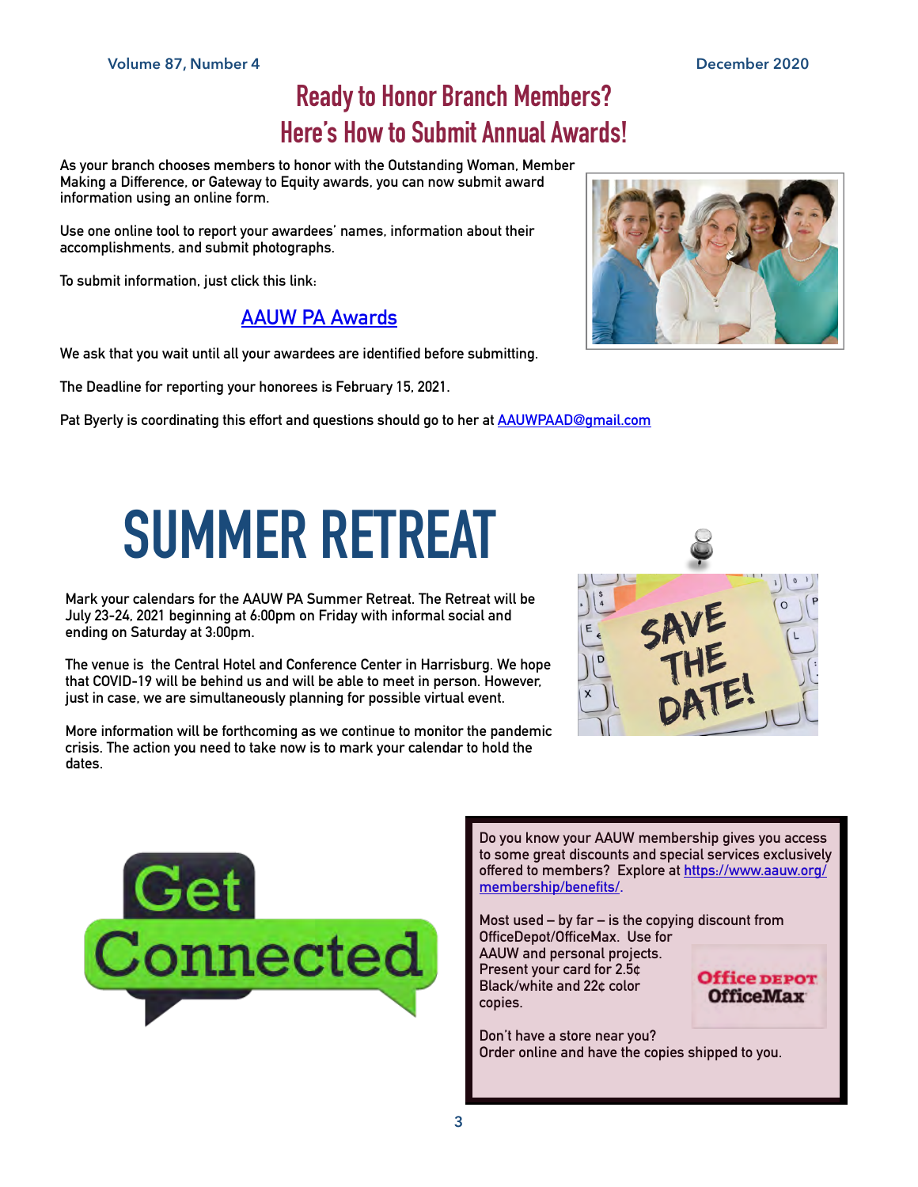## **Ready to Honor Branch Members? Here's How to Submit Annual Awards!**

**As your branch chooses members to honor with the Outstanding Woman, Member Making a Difference, or Gateway to Equity awards, you can now submit award information using an online form.**

**Use one online tool to report your awardees' names, information about their accomplishments, and submit photographs.**

**To submit information, just click this link:**

### **[AAUW PA Awards](https://www.surveymonkey.com/r/AAUWPAAwards)**

**We ask that you wait until all your awardees are identified before submitting.**

**The Deadline for reporting your honorees is February 15, 2021.**

**Pat Byerly is coordinating this effort and questions should go to her at [AAUWPAAD@gmail.com](mailto:AAUWPAAD@gmail.com)**

# **SUMMER RETREAT**

**Mark your calendars for the AAUW PA Summer Retreat. The Retreat will be July 23-24, 2021 beginning at 6:00pm on Friday with informal social and ending on Saturday at 3:00pm.**

**The venue is the Central Hotel and Conference Center in Harrisburg. We hope that COVID-19 will be behind us and will be able to meet in person. However, just in case, we are simultaneously planning for possible virtual event.**

**More information will be forthcoming as we continue to monitor the pandemic crisis. The action you need to take now is to mark your calendar to hold the dates.**





**Do you know your AAUW membership gives you access to some great discounts and special services exclusively offered to members? Explore at [https://www.aauw.org/](https://www.aauw.org/membership/benefits/) [membership/benefits/.](https://www.aauw.org/membership/benefits/)**

**Most used – by far – is the copying discount from OfficeDepot/OfficeMax. Use for** 

**AAUW and personal projects. Present your card for 2.5¢ Black/white and 22¢ color copies.** 



**Don't have a store near you? Order online and have the copies shipped to you.** 

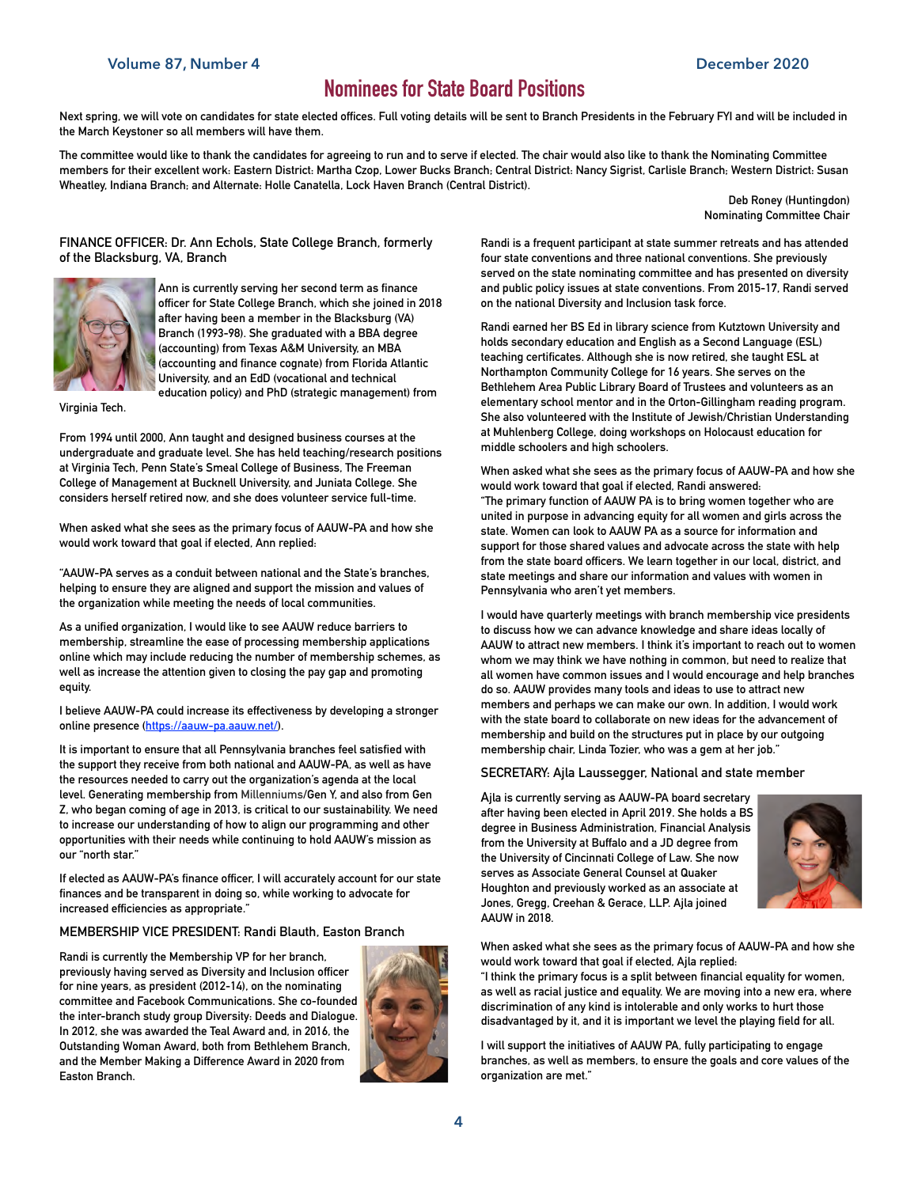#### **Volume 87, Number 4 December 2020**

## **Nominees for State Board Positions**

**Next spring, we will vote on candidates for state elected offices. Full voting details will be sent to Branch Presidents in the February FYI and will be included in the March Keystoner so all members will have them.**

**The committee would like to thank the candidates for agreeing to run and to serve if elected. The chair would also like to thank the Nominating Committee members for their excellent work: Eastern District: Martha Czop, Lower Bucks Branch; Central District: Nancy Sigrist, Carlisle Branch; Western District: Susan Wheatley, Indiana Branch; and Alternate: Holle Canatella, Lock Haven Branch (Central District).**

> **Deb Roney (Huntingdon) Nominating Committee Chair**

#### **FINANCE OFFICER: Dr. Ann Echols, State College Branch, formerly of the Blacksburg, VA, Branch**



**Ann is currently serving her second term as finance officer for State College Branch, which she joined in 2018 after having been a member in the Blacksburg (VA) Branch (1993-98). She graduated with a BBA degree (accounting) from Texas A&M University, an MBA (accounting and finance cognate) from Florida Atlantic University, and an EdD (vocational and technical education policy) and PhD (strategic management) from** 

**Virginia Tech.** 

**From 1994 until 2000, Ann taught and designed business courses at the undergraduate and graduate level. She has held teaching/research positions at Virginia Tech, Penn State's Smeal College of Business, The Freeman College of Management at Bucknell University, and Juniata College. She considers herself retired now, and she does volunteer service full-time.**

**When asked what she sees as the primary focus of AAUW-PA and how she would work toward that goal if elected, Ann replied:**

**"AAUW-PA serves as a conduit between national and the State's branches, helping to ensure they are aligned and support the mission and values of the organization while meeting the needs of local communities.**

**As a unified organization, I would like to see AAUW reduce barriers to membership, streamline the ease of processing membership applications online which may include reducing the number of membership schemes, as well as increase the attention given to closing the pay gap and promoting equity.**

**I believe AAUW-PA could increase its effectiveness by developing a stronger online presence [\(https://aauw-pa.aauw.net/](https://aauw-pa.aauw.net/)).**

**It is important to ensure that all Pennsylvania branches feel satisfied with the support they receive from both national and AAUW-PA, as well as have the resources needed to carry out the organization's agenda at the local level. Generating membership from Millenniums/Gen Y, and also from Gen Z, who began coming of age in 2013, is critical to our sustainability. We need to increase our understanding of how to align our programming and other opportunities with their needs while continuing to hold AAUW's mission as our "north star."** 

**If elected as AAUW-PA's finance officer, I will accurately account for our state finances and be transparent in doing so, while working to advocate for increased efficiencies as appropriate."**

#### **MEMBERSHIP VICE PRESIDENT: Randi Blauth, Easton Branch**

**Randi is currently the Membership VP for her branch, previously having served as Diversity and Inclusion officer for nine years, as president (2012-14), on the nominating committee and Facebook Communications. She co-founded the inter-branch study group Diversity: Deeds and Dialogue. In 2012, she was awarded the Teal Award and, in 2016, the Outstanding Woman Award, both from Bethlehem Branch, and the Member Making a Difference Award in 2020 from Easton Branch.**



**Randi is a frequent participant at state summer retreats and has attended four state conventions and three national conventions. She previously served on the state nominating committee and has presented on diversity and public policy issues at state conventions. From 2015-17, Randi served on the national Diversity and Inclusion task force.**

**Randi earned her BS Ed in library science from Kutztown University and holds secondary education and English as a Second Language (ESL) teaching certificates. Although she is now retired, she taught ESL at Northampton Community College for 16 years. She serves on the Bethlehem Area Public Library Board of Trustees and volunteers as an elementary school mentor and in the Orton-Gillingham reading program. She also volunteered with the Institute of Jewish/Christian Understanding at Muhlenberg College, doing workshops on Holocaust education for middle schoolers and high schoolers.** 

**When asked what she sees as the primary focus of AAUW-PA and how she would work toward that goal if elected, Randi answered: "The primary function of AAUW PA is to bring women together who are united in purpose in advancing equity for all women and girls across the state. Women can look to AAUW PA as a source for information and support for those shared values and advocate across the state with help from the state board officers. We learn together in our local, district, and state meetings and share our information and values with women in Pennsylvania who aren't yet members.** 

**I would have quarterly meetings with branch membership vice presidents to discuss how we can advance knowledge and share ideas locally of AAUW to attract new members. I think it's important to reach out to women whom we may think we have nothing in common, but need to realize that all women have common issues and I would encourage and help branches do so. AAUW provides many tools and ideas to use to attract new members and perhaps we can make our own. In addition, I would work with the state board to collaborate on new ideas for the advancement of membership and build on the structures put in place by our outgoing membership chair, Linda Tozier, who was a gem at her job."**

#### **SECRETARY: Ajla Laussegger, National and state member**

**Ajla is currently serving as AAUW-PA board secretary after having been elected in April 2019. She holds a BS degree in Business Administration, Financial Analysis from the University at Buffalo and a JD degree from the University of Cincinnati College of Law. She now serves as Associate General Counsel at Quaker Houghton and previously worked as an associate at Jones, Gregg, Creehan & Gerace, LLP. Ajla joined AAUW in 2018.**



**When asked what she sees as the primary focus of AAUW-PA and how she would work toward that goal if elected, Ajla replied:**

**"I think the primary focus is a split between financial equality for women, as well as racial justice and equality. We are moving into a new era, where discrimination of any kind is intolerable and only works to hurt those disadvantaged by it, and it is important we level the playing field for all.** 

**I will support the initiatives of AAUW PA, fully participating to engage branches, as well as members, to ensure the goals and core values of the organization are met."**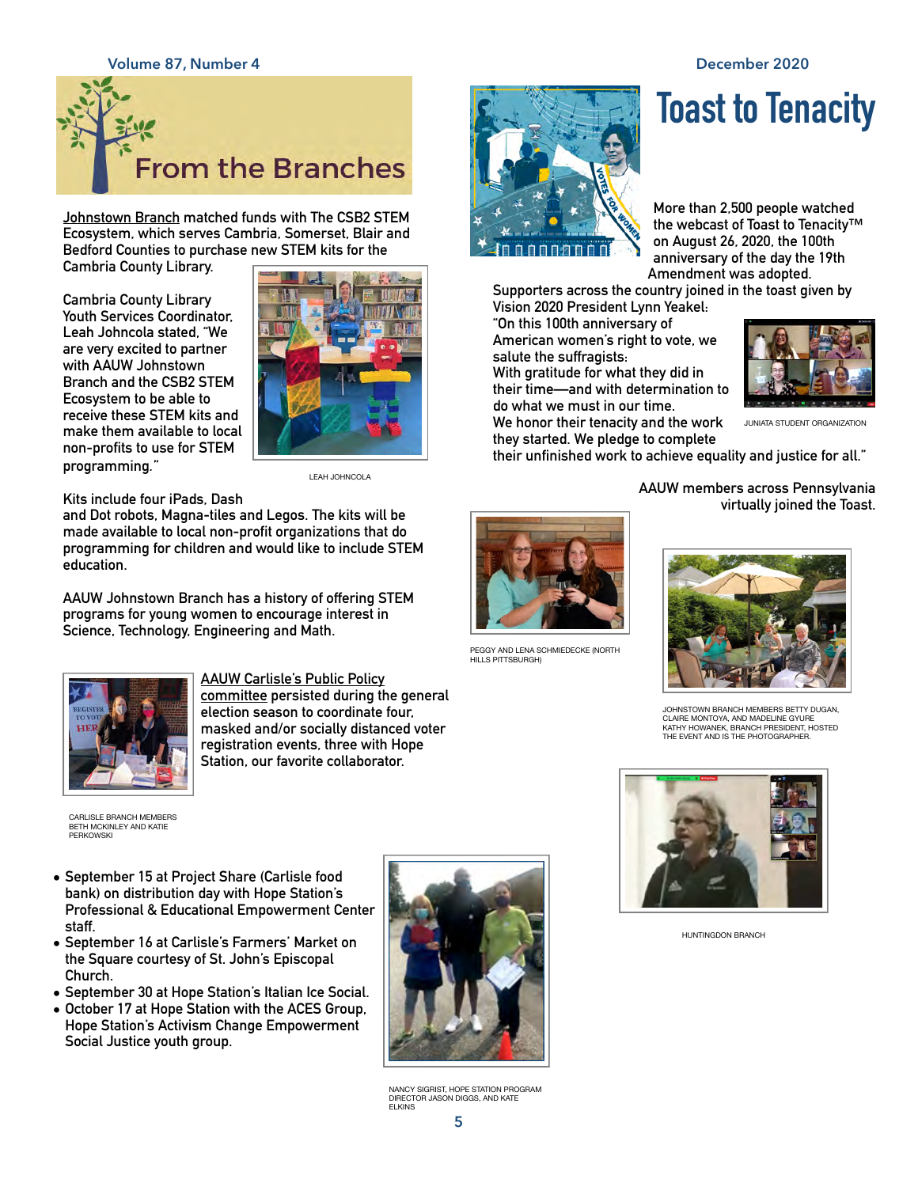# **Volume 87, Number 4 December 2020 From the Branches**

**Johnstown Branch matched funds with The CSB2 STEM Ecosystem, which serves Cambria, Somerset, Blair and Bedford Counties to purchase new STEM kits for the** 

**Cambria County Library.**

**Cambria County Library Youth Services Coordinator, Leah Johncola stated, "We are very excited to partner with AAUW Johnstown Branch and the CSB2 STEM Ecosystem to be able to receive these STEM kits and make them available to local non-profits to use for STEM programming***.***"**



LEAH JOHNCOLA

**Kits include four iPads, Dash** 

**and Dot robots, Magna-tiles and Legos. The kits will be made available to local non-profit organizations that do programming for children and would like to include STEM education.**

**AAUW Johnstown Branch has a history of offering STEM programs for young women to encourage interest in Science, Technology, Engineering and Math.**



**AAUW Carlisle's Public Policy committee persisted during the general election season to coordinate four, masked and/or socially distanced voter registration events, three with Hope Station, our favorite collaborator.** 

CARLISLE BRANCH MEMBERS BETH MCKINLEY AND KATIE PERKOWSKI

- **• September 15 at Project Share (Carlisle food bank) on distribution day with Hope Station's Professional & Educational Empowerment Center staff.**
- **• September 16 at Carlisle's Farmers' Market on the Square courtesy of St. John's Episcopal Church.**
- **• September 30 at Hope Station's Italian Ice Social.**
- **• October 17 at Hope Station with the ACES Group, Hope Station's Activism Change Empowerment Social Justice youth group.**



NANCY SIGRIST, HOPE STATION PROGRAM DIRECTOR JASON DIGGS, AND KATE **ELKINS** 



# **Toast to Tenacity**

**More than 2,500 people watched the webcast of Toast to Tenacity™ on August 26, 2020, the 100th anniversary of the day the 19th Amendment was adopted.** 

**Supporters across the country joined in the toast given by Vision 2020 President Lynn Yeakel: "On this 100th anniversary of** 

**American women's right to vote, we salute the suffragists:** 

**With gratitude for what they did in their time—and with determination to do what we must in our time.** 

**We honor their tenacity and the work they started. We pledge to complete** 

**their unfinished work to achieve equality and justice for all."**

**AAUW members across Pennsylvania virtually joined the Toast.**

JUNIATA STUDENT ORGANIZATION



PEGGY AND LENA SCHMIEDECKE (NORTH HILLS PITTSBURGH)



JOHNSTOWN BRANCH MEMBERS BETTY DUGAN, CLAIRE MONTOYA, AND MADELINE GYURE KATHY HOWANEK, BRANCH PRESIDENT, HOSTED THE EVENT AND IS THE PHOTOGRAPHER.



HUNTINGDON BRANCH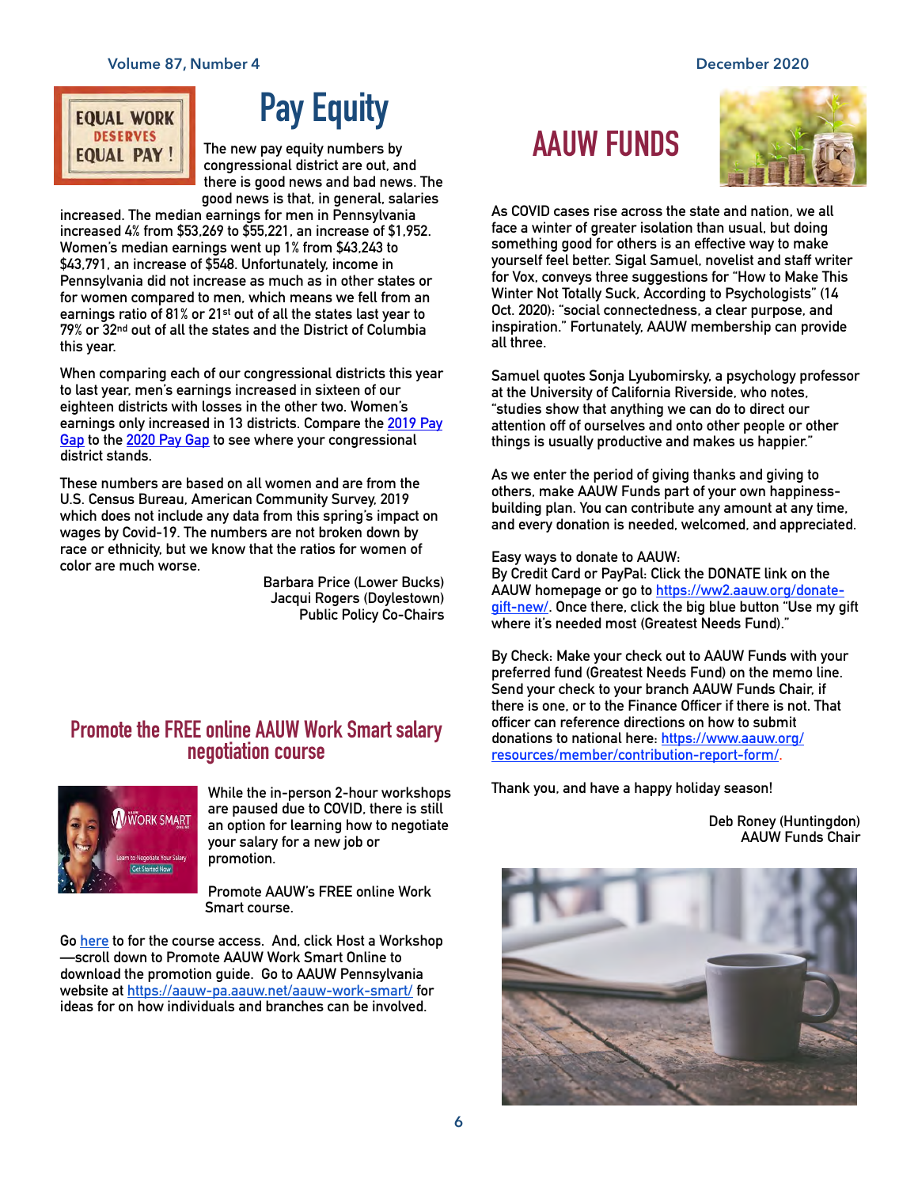## **EQUAL WORK DESERVES EQUAL PAY!**

# **Pay Equity**

**The new pay equity numbers by congressional district are out, and there is good news and bad news. The good news is that, in general, salaries** 

**increased. The median earnings for men in Pennsylvania increased 4% from \$53,269 to \$55,221, an increase of \$1,952. Women's median earnings went up 1% from \$43,243 to \$43,791, an increase of \$548. Unfortunately, income in Pennsylvania did not increase as much as in other states or for women compared to men, which means we fell from an earnings ratio of 81% or 21st out of all the states last year to 79% or 32nd out of all the states and the District of Columbia this year.** 

**When comparing each of our congressional districts this year to last year, men's earnings increased in sixteen of our eighteen districts with losses in the other two. Women's earnings only increased in 13 districts. Compare the [2019 Pay](https://aauw-pa.aauw.net/files/2019/10/2019-Pay-Gap-numbers.pdf)  [Gap](https://aauw-pa.aauw.net/files/2019/10/2019-Pay-Gap-numbers.pdf) to the [2020 Pay Gap](https://aauw-pa.aauw.net/files/2020/09/2020-Pay-Gap-numbers.pdf) to see where your congressional district stands.**

**These numbers are based on all women and are from the U.S. Census Bureau, American Community Survey, 2019 which does not include any data from this spring's impact on wages by Covid-19. The numbers are not broken down by race or ethnicity, but we know that the ratios for women of color are much worse.** 

**Barbara Price (Lower Bucks) Jacqui Rogers (Doylestown) Public Policy Co-Chairs**

# **Promote the FREE online AAUW Work Smart salary negotiation course**



**While the in-person 2-hour workshops are paused due to COVID, there is still an option for learning how to negotiate your salary for a new job or promotion.** 

**Promote AAUW's FREE online Work Smart course.** 

**Go [here](https://www.aauw.org/resources/programs/salary/) to for the course access. And, click Host a Workshop —scroll down to Promote AAUW Work Smart Online to download the promotion guide. Go to AAUW Pennsylvania website at<https://aauw-pa.aauw.net/aauw-work-smart/>for ideas for on how individuals and branches can be involved.**

## **AAUW FUNDS**



**As COVID cases rise across the state and nation, we all face a winter of greater isolation than usual, but doing something good for others is an effective way to make yourself feel better. Sigal Samuel, novelist and staff writer for Vox, conveys three suggestions for "How to Make This Winter Not Totally Suck, According to Psychologists" (14 Oct. 2020): "social connectedness, a clear purpose, and inspiration." Fortunately, AAUW membership can provide all three.**

**Samuel quotes Sonja Lyubomirsky, a psychology professor at the University of California Riverside, who notes, "studies show that anything we can do to direct our attention off of ourselves and onto other people or other things is usually productive and makes us happier."**

**As we enter the period of giving thanks and giving to others, make AAUW Funds part of your own happinessbuilding plan. You can contribute any amount at any time, and every donation is needed, welcomed, and appreciated.** 

**Easy ways to donate to AAUW:**

**By Credit Card or PayPal: Click the DONATE link on the AAUW homepage or go to [https://ww2.aauw.org/donate](https://ww2.aauw.org/donate-gift-new/)[gift-new/](https://ww2.aauw.org/donate-gift-new/). Once there, click the big blue button "Use my gift where it's needed most (Greatest Needs Fund)."**

**By Check: Make your check out to AAUW Funds with your preferred fund (Greatest Needs Fund) on the memo line. Send your check to your branch AAUW Funds Chair, if there is one, or to the Finance Officer if there is not. That officer can reference directions on how to submit donations to national here: [https://www.aauw.org/](https://www.aauw.org/resources/member/contribution-report-form/) [resources/member/contribution-report-form/.](https://www.aauw.org/resources/member/contribution-report-form/)**

**Thank you, and have a happy holiday season!**

**Deb Roney (Huntingdon) AAUW Funds Chair**

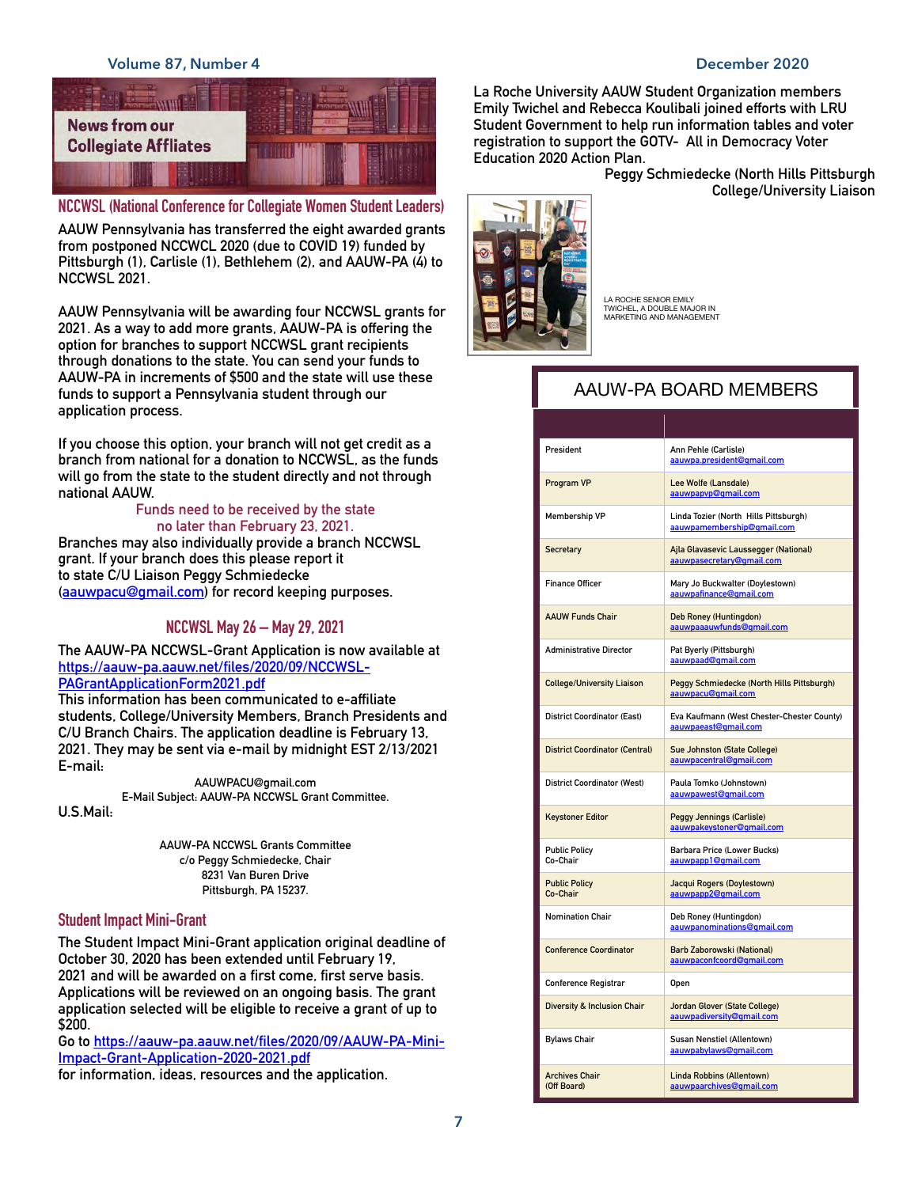#### **Volume 87, Number 4 December 2020**



**NCCWSL (National Conference for Collegiate Women Student Leaders)**

**AAUW Pennsylvania has transferred the eight awarded grants from postponed NCCWCL 2020 (due to COVID 19) funded by Pittsburgh (1), Carlisle (1), Bethlehem (2), and AAUW-PA (4) to NCCWSL 2021.**

**AAUW Pennsylvania will be awarding four NCCWSL grants for 2021. As a way to add more grants, AAUW-PA is offering the option for branches to support NCCWSL grant recipients through donations to the state. You can send your funds to AAUW-PA in increments of \$500 and the state will use these funds to support a Pennsylvania student through our application process.**

**If you choose this option, your branch will not get credit as a branch from national for a donation to NCCWSL, as the funds will go from the state to the student directly and not through national AAUW.**

#### **Funds need to be received by the state no later than February 23, 2021.**

**Branches may also individually provide a branch NCCWSL grant. If your branch does this please report it to state C/U Liaison Peggy Schmiedecke ([aauwpacu@gmail.com](mailto:aauwpacu@gmail.com)) for record keeping purposes.**

#### **NCCWSL May 26 – May 29, 2021**

**The AAUW-PA NCCWSL-Grant Application is now available at [https://aauw-pa.aauw.net/files/2020/09/NCCWSL-](https://aauw-pa.aauw.net/files/2020/09/NCCWSL-PAGrantApplicationForm2021.pdf)[PAGrantApplicationForm2021.pdf](https://aauw-pa.aauw.net/files/2020/09/NCCWSL-PAGrantApplicationForm2021.pdf)**

**This information has been communicated to e-affiliate students, College/University Members, Branch Presidents and C/U Branch Chairs. The application deadline is February 13, 2021. They may be sent via e-mail by midnight EST 2/13/2021 E-mail:**

> **AAUWPACU@gmail.com E-Mail Subject: AAUW-PA NCCWSL Grant Committee.**

> > **AAUW-PA NCCWSL Grants Committee c/o Peggy Schmiedecke, Chair 8231 Van Buren Drive Pittsburgh, PA 15237.**

#### **Student Impact Mini-Grant**

**U.S.Mail:**

**The Student Impact Mini-Grant application original deadline of October 30, 2020 has been extended until February 19, 2021 and will be awarded on a first come, first serve basis. Applications will be reviewed on an ongoing basis. The grant application selected will be eligible to receive a grant of up to \$200.**

**Go to [https://aauw-pa.aauw.net/files/2020/09/AAUW-PA-Mini-](https://aauw-pa.aauw.net/files/2020/09/AAUW-PA-Mini-Impact-Grant-Application-2020-2021.pdf)[Impact-Grant-Application-2020-2021.pdf](https://aauw-pa.aauw.net/files/2020/09/AAUW-PA-Mini-Impact-Grant-Application-2020-2021.pdf)**

**for information, ideas, resources and the application.**

**La Roche University AAUW Student Organization members Emily Twichel and Rebecca Koulibali joined efforts with LRU Student Government to help run information tables and voter registration to support the GOTV- All in Democracy Voter Education 2020 Action Plan.** 

> **Peggy Schmiedecke (North Hills Pittsburgh College/University Liaison**



LA ROCHE SENIOR EMILY TWICHEL, A DOUBLE MAJOR IN MARKETING AND MANAGEMENT

### AAUW-PA BOARD MEMBERS

| President                              | Ann Pehle (Carlisle)<br>aauwpa.president@gmail.com                  |
|----------------------------------------|---------------------------------------------------------------------|
| Program VP                             | Lee Wolfe (Lansdale)<br>aauwpapyp@qmail.com                         |
| <b>Membership VP</b>                   | Linda Tozier (North Hills Pittsburgh)<br>aauwpamembership@gmail.com |
| Secretary                              | Ajla Glavasevic Laussegger (National)<br>aauwpasecretary@gmail.com  |
| <b>Finance Officer</b>                 | Mary Jo Buckwalter (Doylestown)<br>aauwpafinance@qmail.com          |
| <b>AAUW Funds Chair</b>                | Deb Roney (Huntingdon)<br>aauwpaaauwfunds@gmail.com                 |
| <b>Administrative Director</b>         | Pat Byerly (Pittsburgh)<br>aauwpaad@gmail.com                       |
| <b>College/University Liaison</b>      | Peggy Schmiedecke (North Hills Pittsburgh)<br>aauwpacu@gmail.com    |
| <b>District Coordinator (East)</b>     | Eva Kaufmann (West Chester-Chester County)<br>aauwpaeast@qmail.com  |
| <b>District Coordinator (Central)</b>  | Sue Johnston (State College)<br>aauwpacentral@gmail.com             |
| <b>District Coordinator (West)</b>     | Paula Tomko (Johnstown)<br>aauwpawest@gmail.com                     |
| <b>Keystoner Editor</b>                | Peggy Jennings (Carlisle)<br>aauwpakeystoner@qmail.com              |
| <b>Public Policy</b><br>Co-Chair       | Barbara Price (Lower Bucks)<br>aauwpapp1@gmail.com                  |
| <b>Public Policy</b><br>Co-Chair       | Jacqui Rogers (Doylestown)<br>aauwpapp2@gmail.com                   |
| <b>Nomination Chair</b>                | Deb Roney (Huntingdon)<br>aauwpanominations@gmail.com               |
| <b>Conference Coordinator</b>          | Barb Zaborowski (National)<br>aauwpaconfcoord@gmail.com             |
| <b>Conference Registrar</b>            | Open                                                                |
| <b>Diversity &amp; Inclusion Chair</b> | Jordan Glover (State College)<br>aauwpadiversity@gmail.com          |
| <b>Bylaws Chair</b>                    | Susan Nenstiel (Allentown)<br>aauwpabylaws@gmail.com                |
| <b>Archives Chair</b><br>(Off Board)   | Linda Robbins (Allentown)<br>aauwpaarchives@gmail.com               |